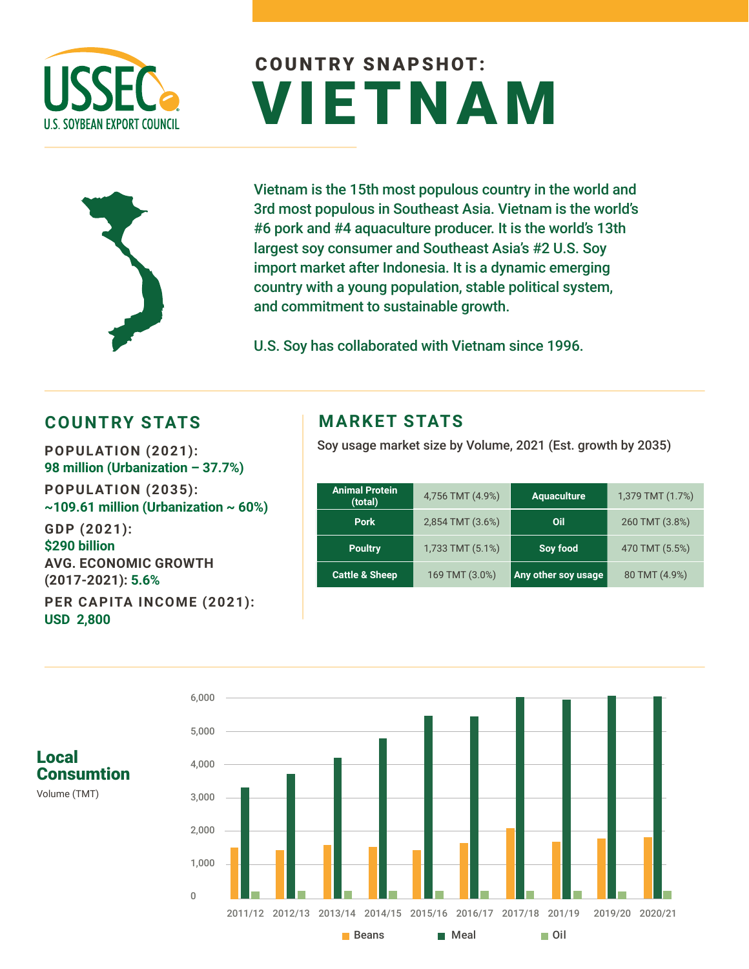

# COUNTRY SNAPSHOT: VIETNAM



Vietnam is the 15th most populous country in the world and 3rd most populous in Southeast Asia. Vietnam is the world's #6 pork and #4 aquaculture producer. It is the world's 13th largest soy consumer and Southeast Asia's #2 U.S. Soy import market after Indonesia. It is a dynamic emerging country with a young population, stable political system, and commitment to sustainable growth.

U.S. Soy has collaborated with Vietnam since 1996.

### **COUNTRY STATS BETTING ATTACK AND RESPONSE STATS**

**98 million (Urbanization – 37.7%) POPULATION (2035): ~109.61 million (Urbanization ~ 60%) GDP (2021): \$290 billion**

**AVG. ECONOMIC GROWTH (2017-2021): 5.6% PER CAPITA INCOME (2021): USD 2,800** 

Soy usage market size by Volume, 2021 (Est. growth by 2035) **POPULATION (2021):** 

| <b>Animal Protein</b><br>(total) | 4,756 TMT (4.9%) | <b>Aquaculture</b>  | 1,379 TMT (1.7%) |
|----------------------------------|------------------|---------------------|------------------|
| <b>Pork</b>                      | 2,854 TMT (3.6%) | Oil                 | 260 TMT (3.8%)   |
| <b>Poultry</b>                   | 1,733 TMT (5.1%) | Soy food            | 470 TMT (5.5%)   |
| Cattle & Sheep                   | 169 TMT (3.0%)   | Any other soy usage | 80 TMT (4.9%)    |



Volume (TMT)

**Consumtion** 

Local